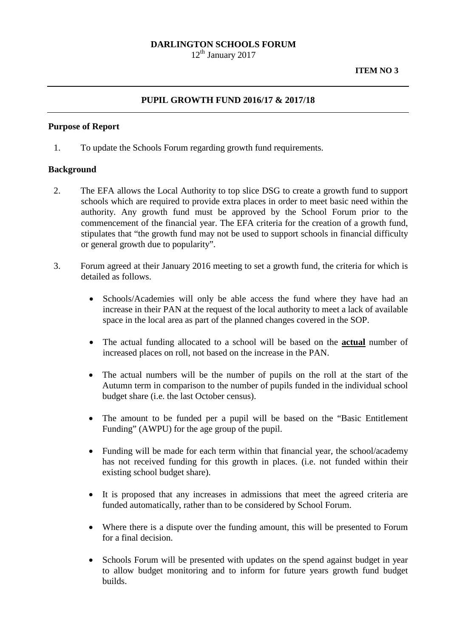## **DARLINGTON SCHOOLS FORUM**

 $12<sup>th</sup>$  January 2017

## **PUPIL GROWTH FUND 2016/17 & 2017/18**

### **Purpose of Report**

1. To update the Schools Forum regarding growth fund requirements.

#### **Background**

- 2. The EFA allows the Local Authority to top slice DSG to create a growth fund to support schools which are required to provide extra places in order to meet basic need within the authority. Any growth fund must be approved by the School Forum prior to the commencement of the financial year. The EFA criteria for the creation of a growth fund, stipulates that "the growth fund may not be used to support schools in financial difficulty or general growth due to popularity".
- 3. Forum agreed at their January 2016 meeting to set a growth fund, the criteria for which is detailed as follows.
	- Schools/Academies will only be able access the fund where they have had an increase in their PAN at the request of the local authority to meet a lack of available space in the local area as part of the planned changes covered in the SOP.
	- The actual funding allocated to a school will be based on the **actual** number of increased places on roll, not based on the increase in the PAN.
	- The actual numbers will be the number of pupils on the roll at the start of the Autumn term in comparison to the number of pupils funded in the individual school budget share (i.e. the last October census).
	- The amount to be funded per a pupil will be based on the "Basic Entitlement Funding" (AWPU) for the age group of the pupil.
	- Funding will be made for each term within that financial year, the school/academy has not received funding for this growth in places. (i.e. not funded within their existing school budget share).
	- It is proposed that any increases in admissions that meet the agreed criteria are funded automatically, rather than to be considered by School Forum.
	- Where there is a dispute over the funding amount, this will be presented to Forum for a final decision.
	- Schools Forum will be presented with updates on the spend against budget in year to allow budget monitoring and to inform for future years growth fund budget builds.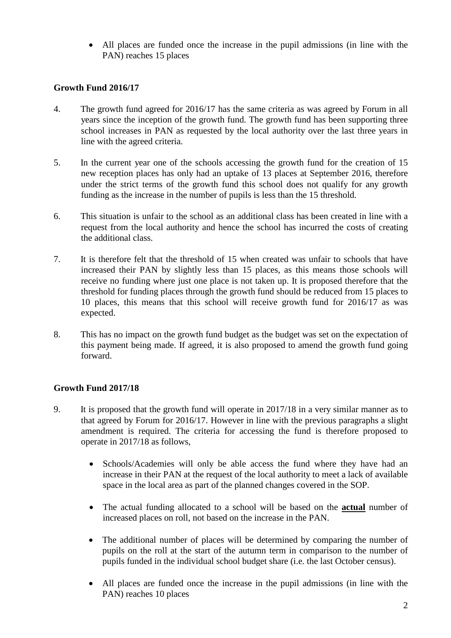• All places are funded once the increase in the pupil admissions (in line with the PAN) reaches 15 places

# **Growth Fund 2016/17**

- 4. The growth fund agreed for 2016/17 has the same criteria as was agreed by Forum in all years since the inception of the growth fund. The growth fund has been supporting three school increases in PAN as requested by the local authority over the last three years in line with the agreed criteria.
- 5. In the current year one of the schools accessing the growth fund for the creation of 15 new reception places has only had an uptake of 13 places at September 2016, therefore under the strict terms of the growth fund this school does not qualify for any growth funding as the increase in the number of pupils is less than the 15 threshold.
- 6. This situation is unfair to the school as an additional class has been created in line with a request from the local authority and hence the school has incurred the costs of creating the additional class.
- 7. It is therefore felt that the threshold of 15 when created was unfair to schools that have increased their PAN by slightly less than 15 places, as this means those schools will receive no funding where just one place is not taken up. It is proposed therefore that the threshold for funding places through the growth fund should be reduced from 15 places to 10 places, this means that this school will receive growth fund for 2016/17 as was expected.
- 8. This has no impact on the growth fund budget as the budget was set on the expectation of this payment being made. If agreed, it is also proposed to amend the growth fund going forward.

# **Growth Fund 2017/18**

- 9. It is proposed that the growth fund will operate in 2017/18 in a very similar manner as to that agreed by Forum for 2016/17. However in line with the previous paragraphs a slight amendment is required. The criteria for accessing the fund is therefore proposed to operate in 2017/18 as follows,
	- Schools/Academies will only be able access the fund where they have had an increase in their PAN at the request of the local authority to meet a lack of available space in the local area as part of the planned changes covered in the SOP.
	- The actual funding allocated to a school will be based on the **actual** number of increased places on roll, not based on the increase in the PAN.
	- The additional number of places will be determined by comparing the number of pupils on the roll at the start of the autumn term in comparison to the number of pupils funded in the individual school budget share (i.e. the last October census).
	- All places are funded once the increase in the pupil admissions (in line with the PAN) reaches 10 places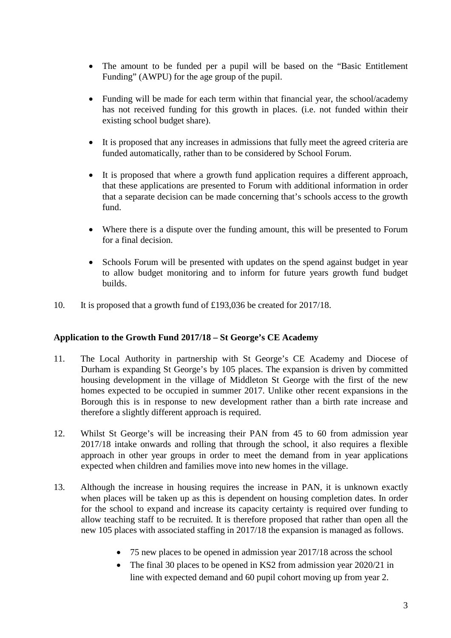- The amount to be funded per a pupil will be based on the "Basic Entitlement Funding" (AWPU) for the age group of the pupil.
- Funding will be made for each term within that financial year, the school/academy has not received funding for this growth in places. (i.e. not funded within their existing school budget share).
- It is proposed that any increases in admissions that fully meet the agreed criteria are funded automatically, rather than to be considered by School Forum.
- It is proposed that where a growth fund application requires a different approach, that these applications are presented to Forum with additional information in order that a separate decision can be made concerning that's schools access to the growth fund.
- Where there is a dispute over the funding amount, this will be presented to Forum for a final decision.
- Schools Forum will be presented with updates on the spend against budget in year to allow budget monitoring and to inform for future years growth fund budget builds.
- 10. It is proposed that a growth fund of £193,036 be created for 2017/18.

# **Application to the Growth Fund 2017/18 – St George's CE Academy**

- 11. The Local Authority in partnership with St George's CE Academy and Diocese of Durham is expanding St George's by 105 places. The expansion is driven by committed housing development in the village of Middleton St George with the first of the new homes expected to be occupied in summer 2017. Unlike other recent expansions in the Borough this is in response to new development rather than a birth rate increase and therefore a slightly different approach is required.
- 12. Whilst St George's will be increasing their PAN from 45 to 60 from admission year 2017/18 intake onwards and rolling that through the school, it also requires a flexible approach in other year groups in order to meet the demand from in year applications expected when children and families move into new homes in the village.
- 13. Although the increase in housing requires the increase in PAN, it is unknown exactly when places will be taken up as this is dependent on housing completion dates. In order for the school to expand and increase its capacity certainty is required over funding to allow teaching staff to be recruited. It is therefore proposed that rather than open all the new 105 places with associated staffing in 2017/18 the expansion is managed as follows.
	- 75 new places to be opened in admission year 2017/18 across the school
	- The final 30 places to be opened in KS2 from admission year 2020/21 in line with expected demand and 60 pupil cohort moving up from year 2.